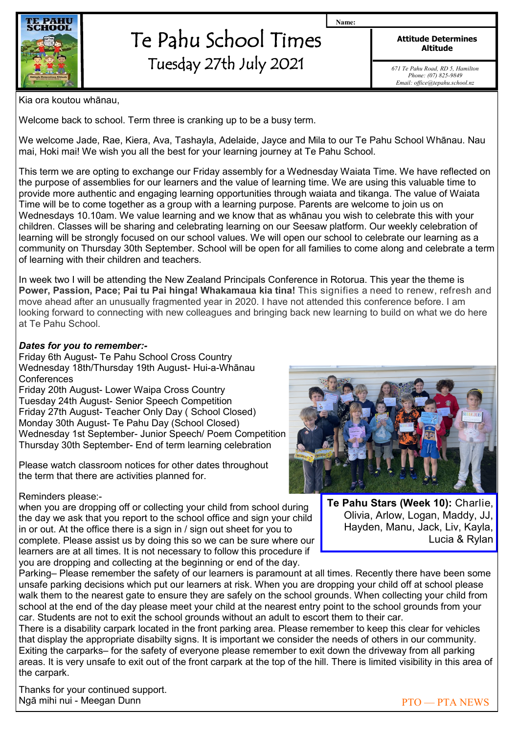

## Te Pahu School Times Tuesday 27th July 2021

**Attitude Determines Altitude**

**Name:**

*671 Te Pahu Road, RD 5, Hamilton Phone: (07) 825-9849 Email: office@tepahu.school.nz*

Kia ora koutou whānau,

Welcome back to school. Term three is cranking up to be a busy term.

We welcome Jade, Rae, Kiera, Ava, Tashayla, Adelaide, Jayce and Mila to our Te Pahu School Whānau. Nau mai, Hoki mai! We wish you all the best for your learning journey at Te Pahu School.

This term we are opting to exchange our Friday assembly for a Wednesday Waiata Time. We have reflected on the purpose of assemblies for our learners and the value of learning time. We are using this valuable time to provide more authentic and engaging learning opportunities through waiata and tikanga. The value of Waiata Time will be to come together as a group with a learning purpose. Parents are welcome to join us on Wednesdays 10.10am. We value learning and we know that as whānau you wish to celebrate this with your children. Classes will be sharing and celebrating learning on our Seesaw platform. Our weekly celebration of learning will be strongly focused on our school values. We will open our school to celebrate our learning as a community on Thursday 30th September. School will be open for all families to come along and celebrate a term of learning with their children and teachers.

In week two I will be attending the New Zealand Principals Conference in Rotorua. This year the theme is **Power, Passion, Pace; Pai tu Pai hinga! Whakamaua kia tina!** This signifies a need to renew, refresh and move ahead after an unusually fragmented year in 2020. I have not attended this conference before. I am looking forward to connecting with new colleagues and bringing back new learning to build on what we do here at Te Pahu School.

## *Dates for you to remember:-*

Friday 6th August- Te Pahu School Cross Country Wednesday 18th/Thursday 19th August- Hui-a-Whānau **Conferences** 

Friday 20th August- Lower Waipa Cross Country Tuesday 24th August- Senior Speech Competition Friday 27th August- Teacher Only Day ( School Closed) Monday 30th August- Te Pahu Day (School Closed) Wednesday 1st September- Junior Speech/ Poem Competition Thursday 30th September- End of term learning celebration

Please watch classroom notices for other dates throughout the term that there are activities planned for.

Reminders please:-

when you are dropping off or collecting your child from school during the day we ask that you report to the school office and sign your child in or out. At the office there is a sign in / sign out sheet for you to complete. Please assist us by doing this so we can be sure where our learners are at all times. It is not necessary to follow this procedure if you are dropping and collecting at the beginning or end of the day.



**Te Pahu Stars (Week 10):** Charlie, Olivia, Arlow, Logan, Maddy, JJ, Hayden, Manu, Jack, Liv, Kayla, Lucia & Rylan

Parking– Please remember the safety of our learners is paramount at all times. Recently there have been some unsafe parking decisions which put our learners at risk. When you are dropping your child off at school please walk them to the nearest gate to ensure they are safely on the school grounds. When collecting your child from school at the end of the day please meet your child at the nearest entry point to the school grounds from your car. Students are not to exit the school grounds without an adult to escort them to their car.

There is a disability carpark located in the front parking area. Please remember to keep this clear for vehicles that display the appropriate disabilty signs. It is important we consider the needs of others in our community. Exiting the carparks– for the safety of everyone please remember to exit down the driveway from all parking areas. It is very unsafe to exit out of the front carpark at the top of the hill. There is limited visibility in this area of the carpark.

Thanks for your continued support. Ngā mihi nui - Meegan Dunn